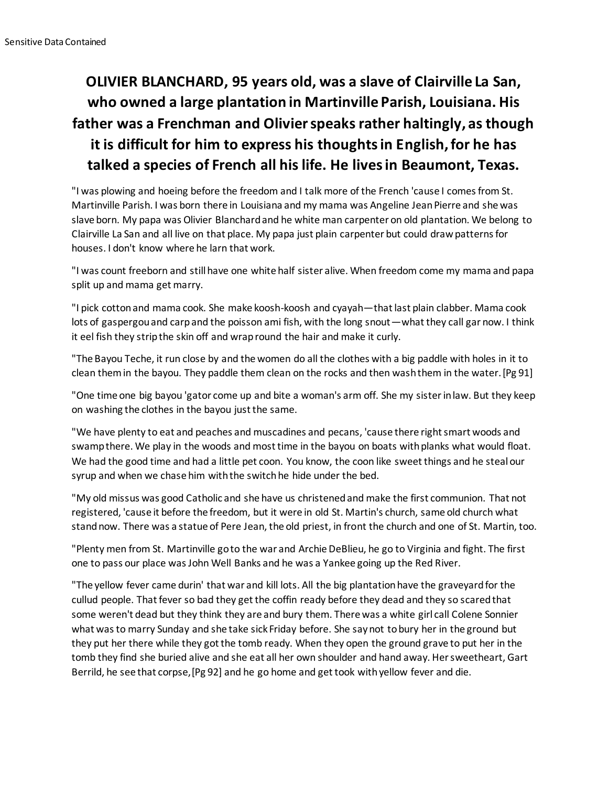## **OLIVIER BLANCHARD, 95 years old, was a slave of Clairville La San, who owned a large plantation in Martinville Parish, Louisiana. His father was a Frenchman and Olivier speaks rather haltingly, as though it is difficult for him to express his thoughts in English, for he has talked a species of French all his life. He lives in Beaumont, Texas.**

"I was plowing and hoeing before the freedom and I talk more of the French 'cause I comes from St. Martinville Parish. I was born there in Louisiana and my mama was Angeline Jean Pierre and she was slave born. My papa was Olivier Blanchard and he white man carpenter on old plantation. We belong to Clairville La San and all live on that place. My papa just plain carpenter but could draw patterns for houses. I don't know where he larn that work.

"I was count freeborn and still have one white half sister alive. When freedom come my mama and papa split up and mama get marry.

"I pick cotton and mama cook. She make koosh-koosh and cyayah—that last plain clabber. Mama cook lots of gaspergou and carp and the poisson ami fish, with the long snout—what they call gar now. I think it eel fish they strip the skin off and wrap round the hair and make it curly.

"The Bayou Teche, it run close by and the women do all the clothes with a big paddle with holes in it to clean them in the bayou. They paddle them clean on the rocks and then wash them in the water.[Pg 91]

"One time one big bayou 'gator come up and bite a woman's arm off. She my sister in law. But they keep on washing the clothes in the bayou just the same.

"We have plenty to eat and peaches and muscadines and pecans, 'cause there right smart woods and swamp there. We play in the woods and most time in the bayou on boats with planks what would float. We had the good time and had a little pet coon. You know, the coon like sweet things and he steal our syrup and when we chase him with the switch he hide under the bed.

"My old missus was good Catholic and she have us christened and make the first communion. That not registered, 'cause it before the freedom, but it were in old St. Martin's church, same old church what stand now. There was a statue of Pere Jean, the old priest, in front the church and one of St. Martin, too.

"Plenty men from St. Martinville go to the war and Archie DeBlieu, he go to Virginia and fight. The first one to pass our place was John Well Banks and he was a Yankee going up the Red River.

"The yellow fever came durin' that war and kill lots. All the big plantation have the graveyard for the cullud people. That fever so bad they get the coffin ready before they dead and they so scared that some weren't dead but they think they are and bury them. There was a white girl call Colene Sonnier what was to marry Sunday and she take sick Friday before. She say not to bury her in the ground but they put her there while they got the tomb ready. When they open the ground grave to put her in the tomb they find she buried alive and she eat all her own shoulder and hand away. Her sweetheart, Gart Berrild, he see that corpse,[Pg 92] and he go home and get took with yellow fever and die.